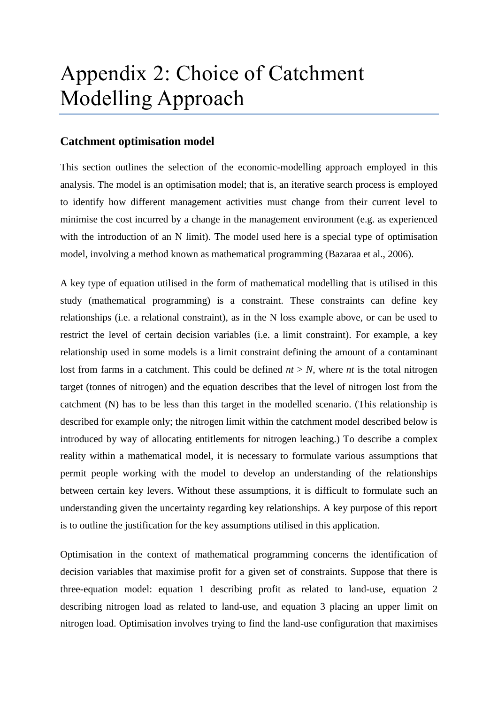## Appendix 2: Choice of Catchment Modelling Approach

## **Catchment optimisation model**

This section outlines the selection of the economic-modelling approach employed in this analysis. The model is an optimisation model; that is, an iterative search process is employed to identify how different management activities must change from their current level to minimise the cost incurred by a change in the management environment (e.g. as experienced with the introduction of an N limit). The model used here is a special type of optimisation model, involving a method known as mathematical programming (Bazaraa et al., 2006).

A key type of equation utilised in the form of mathematical modelling that is utilised in this study (mathematical programming) is a constraint. These constraints can define key relationships (i.e. a relational constraint), as in the N loss example above, or can be used to restrict the level of certain decision variables (i.e. a limit constraint). For example, a key relationship used in some models is a limit constraint defining the amount of a contaminant lost from farms in a catchment. This could be defined  $nt > N$ , where *nt* is the total nitrogen target (tonnes of nitrogen) and the equation describes that the level of nitrogen lost from the catchment (N) has to be less than this target in the modelled scenario. (This relationship is described for example only; the nitrogen limit within the catchment model described below is introduced by way of allocating entitlements for nitrogen leaching.) To describe a complex reality within a mathematical model, it is necessary to formulate various assumptions that permit people working with the model to develop an understanding of the relationships between certain key levers. Without these assumptions, it is difficult to formulate such an understanding given the uncertainty regarding key relationships. A key purpose of this report is to outline the justification for the key assumptions utilised in this application.

Optimisation in the context of mathematical programming concerns the identification of decision variables that maximise profit for a given set of constraints. Suppose that there is three-equation model: equation 1 describing profit as related to land-use, equation 2 describing nitrogen load as related to land-use, and equation 3 placing an upper limit on nitrogen load. Optimisation involves trying to find the land-use configuration that maximises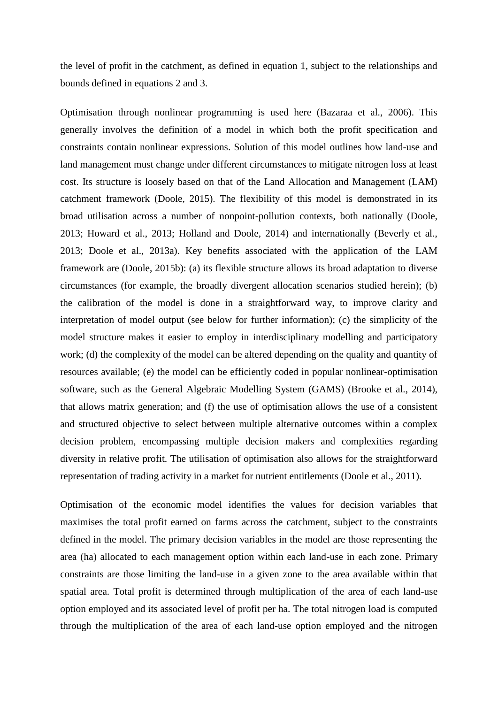the level of profit in the catchment, as defined in equation 1, subject to the relationships and bounds defined in equations 2 and 3.

Optimisation through nonlinear programming is used here (Bazaraa et al., 2006). This generally involves the definition of a model in which both the profit specification and constraints contain nonlinear expressions. Solution of this model outlines how land-use and land management must change under different circumstances to mitigate nitrogen loss at least cost. Its structure is loosely based on that of the Land Allocation and Management (LAM) catchment framework (Doole, 2015). The flexibility of this model is demonstrated in its broad utilisation across a number of nonpoint-pollution contexts, both nationally (Doole, 2013; Howard et al., 2013; Holland and Doole, 2014) and internationally (Beverly et al., 2013; Doole et al., 2013a). Key benefits associated with the application of the LAM framework are (Doole, 2015b): (a) its flexible structure allows its broad adaptation to diverse circumstances (for example, the broadly divergent allocation scenarios studied herein); (b) the calibration of the model is done in a straightforward way, to improve clarity and interpretation of model output (see below for further information); (c) the simplicity of the model structure makes it easier to employ in interdisciplinary modelling and participatory work; (d) the complexity of the model can be altered depending on the quality and quantity of resources available; (e) the model can be efficiently coded in popular nonlinear-optimisation software, such as the General Algebraic Modelling System (GAMS) (Brooke et al., 2014), that allows matrix generation; and (f) the use of optimisation allows the use of a consistent and structured objective to select between multiple alternative outcomes within a complex decision problem, encompassing multiple decision makers and complexities regarding diversity in relative profit. The utilisation of optimisation also allows for the straightforward representation of trading activity in a market for nutrient entitlements (Doole et al., 2011).

Optimisation of the economic model identifies the values for decision variables that maximises the total profit earned on farms across the catchment, subject to the constraints defined in the model. The primary decision variables in the model are those representing the area (ha) allocated to each management option within each land-use in each zone. Primary constraints are those limiting the land-use in a given zone to the area available within that spatial area. Total profit is determined through multiplication of the area of each land-use option employed and its associated level of profit per ha. The total nitrogen load is computed through the multiplication of the area of each land-use option employed and the nitrogen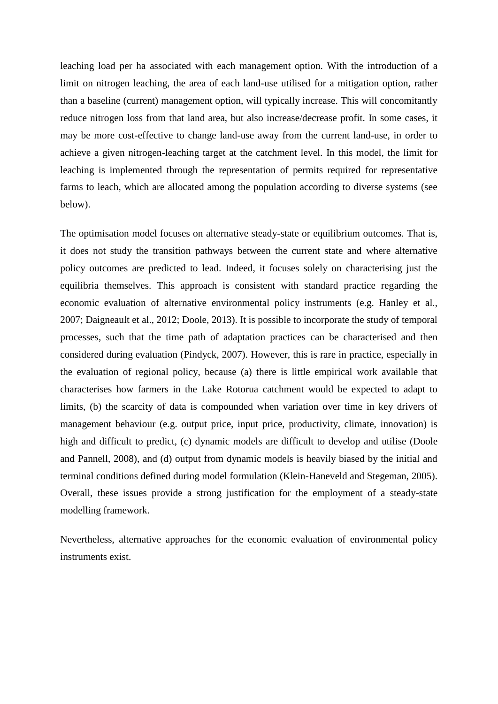leaching load per ha associated with each management option. With the introduction of a limit on nitrogen leaching, the area of each land-use utilised for a mitigation option, rather than a baseline (current) management option, will typically increase. This will concomitantly reduce nitrogen loss from that land area, but also increase/decrease profit. In some cases, it may be more cost-effective to change land-use away from the current land-use, in order to achieve a given nitrogen-leaching target at the catchment level. In this model, the limit for leaching is implemented through the representation of permits required for representative farms to leach, which are allocated among the population according to diverse systems (see below).

The optimisation model focuses on alternative steady-state or equilibrium outcomes. That is, it does not study the transition pathways between the current state and where alternative policy outcomes are predicted to lead. Indeed, it focuses solely on characterising just the equilibria themselves. This approach is consistent with standard practice regarding the economic evaluation of alternative environmental policy instruments (e.g. Hanley et al., 2007; Daigneault et al., 2012; Doole, 2013). It is possible to incorporate the study of temporal processes, such that the time path of adaptation practices can be characterised and then considered during evaluation (Pindyck, 2007). However, this is rare in practice, especially in the evaluation of regional policy, because (a) there is little empirical work available that characterises how farmers in the Lake Rotorua catchment would be expected to adapt to limits, (b) the scarcity of data is compounded when variation over time in key drivers of management behaviour (e.g. output price, input price, productivity, climate, innovation) is high and difficult to predict, (c) dynamic models are difficult to develop and utilise (Doole and Pannell, 2008), and (d) output from dynamic models is heavily biased by the initial and terminal conditions defined during model formulation (Klein-Haneveld and Stegeman, 2005). Overall, these issues provide a strong justification for the employment of a steady-state modelling framework.

Nevertheless, alternative approaches for the economic evaluation of environmental policy instruments exist.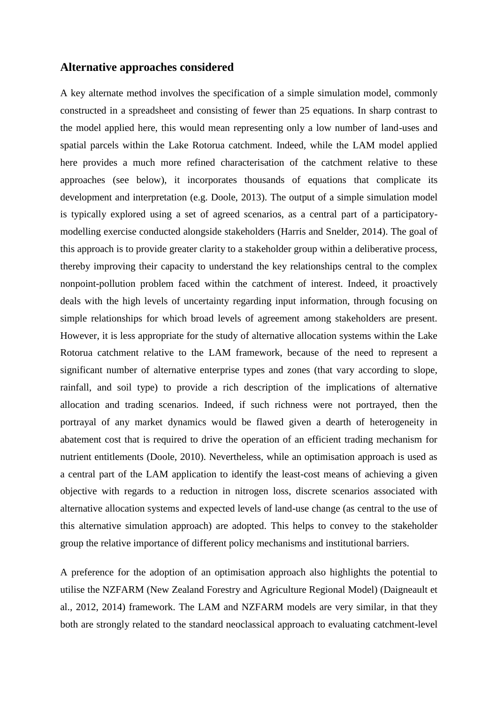## **Alternative approaches considered**

A key alternate method involves the specification of a simple simulation model, commonly constructed in a spreadsheet and consisting of fewer than 25 equations. In sharp contrast to the model applied here, this would mean representing only a low number of land-uses and spatial parcels within the Lake Rotorua catchment. Indeed, while the LAM model applied here provides a much more refined characterisation of the catchment relative to these approaches (see below), it incorporates thousands of equations that complicate its development and interpretation (e.g. Doole, 2013). The output of a simple simulation model is typically explored using a set of agreed scenarios, as a central part of a participatorymodelling exercise conducted alongside stakeholders (Harris and Snelder, 2014). The goal of this approach is to provide greater clarity to a stakeholder group within a deliberative process, thereby improving their capacity to understand the key relationships central to the complex nonpoint-pollution problem faced within the catchment of interest. Indeed, it proactively deals with the high levels of uncertainty regarding input information, through focusing on simple relationships for which broad levels of agreement among stakeholders are present. However, it is less appropriate for the study of alternative allocation systems within the Lake Rotorua catchment relative to the LAM framework, because of the need to represent a significant number of alternative enterprise types and zones (that vary according to slope, rainfall, and soil type) to provide a rich description of the implications of alternative allocation and trading scenarios. Indeed, if such richness were not portrayed, then the portrayal of any market dynamics would be flawed given a dearth of heterogeneity in abatement cost that is required to drive the operation of an efficient trading mechanism for nutrient entitlements (Doole, 2010). Nevertheless, while an optimisation approach is used as a central part of the LAM application to identify the least-cost means of achieving a given objective with regards to a reduction in nitrogen loss, discrete scenarios associated with alternative allocation systems and expected levels of land-use change (as central to the use of this alternative simulation approach) are adopted. This helps to convey to the stakeholder group the relative importance of different policy mechanisms and institutional barriers.

A preference for the adoption of an optimisation approach also highlights the potential to utilise the NZFARM (New Zealand Forestry and Agriculture Regional Model) (Daigneault et al., 2012, 2014) framework. The LAM and NZFARM models are very similar, in that they both are strongly related to the standard neoclassical approach to evaluating catchment-level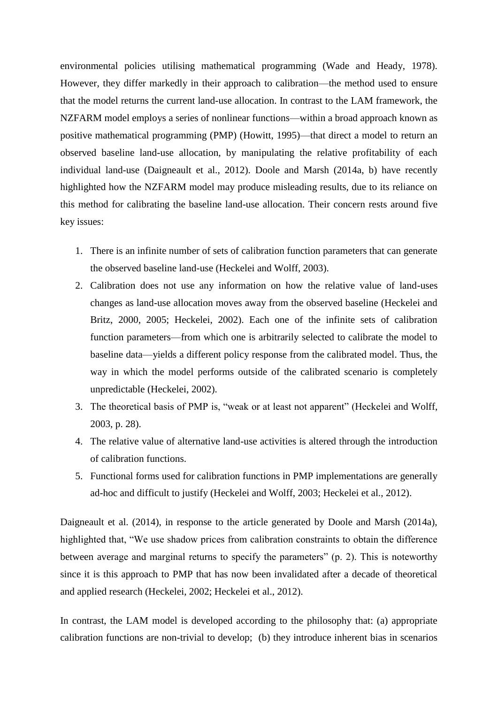environmental policies utilising mathematical programming (Wade and Heady, 1978). However, they differ markedly in their approach to calibration—the method used to ensure that the model returns the current land-use allocation. In contrast to the LAM framework, the NZFARM model employs a series of nonlinear functions—within a broad approach known as positive mathematical programming (PMP) (Howitt, 1995)—that direct a model to return an observed baseline land-use allocation, by manipulating the relative profitability of each individual land-use (Daigneault et al., 2012). Doole and Marsh (2014a, b) have recently highlighted how the NZFARM model may produce misleading results, due to its reliance on this method for calibrating the baseline land-use allocation. Their concern rests around five key issues:

- 1. There is an infinite number of sets of calibration function parameters that can generate the observed baseline land-use (Heckelei and Wolff, 2003).
- 2. Calibration does not use any information on how the relative value of land-uses changes as land-use allocation moves away from the observed baseline (Heckelei and Britz, 2000, 2005; Heckelei, 2002). Each one of the infinite sets of calibration function parameters—from which one is arbitrarily selected to calibrate the model to baseline data—yields a different policy response from the calibrated model. Thus, the way in which the model performs outside of the calibrated scenario is completely unpredictable (Heckelei, 2002).
- 3. The theoretical basis of PMP is, "weak or at least not apparent" (Heckelei and Wolff, 2003, p. 28).
- 4. The relative value of alternative land-use activities is altered through the introduction of calibration functions.
- 5. Functional forms used for calibration functions in PMP implementations are generally ad-hoc and difficult to justify (Heckelei and Wolff, 2003; Heckelei et al., 2012).

Daigneault et al. (2014), in response to the article generated by Doole and Marsh (2014a), highlighted that, "We use shadow prices from calibration constraints to obtain the difference between average and marginal returns to specify the parameters" (p. 2). This is noteworthy since it is this approach to PMP that has now been invalidated after a decade of theoretical and applied research (Heckelei, 2002; Heckelei et al., 2012).

In contrast, the LAM model is developed according to the philosophy that: (a) appropriate calibration functions are non-trivial to develop; (b) they introduce inherent bias in scenarios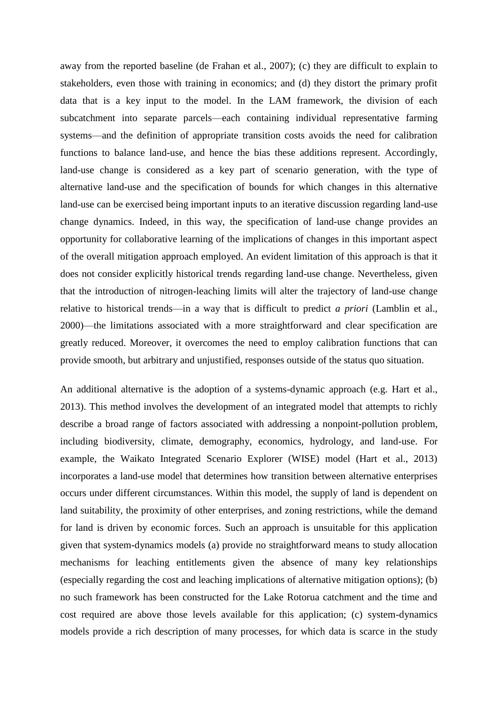away from the reported baseline (de Frahan et al., 2007); (c) they are difficult to explain to stakeholders, even those with training in economics; and (d) they distort the primary profit data that is a key input to the model. In the LAM framework, the division of each subcatchment into separate parcels—each containing individual representative farming systems—and the definition of appropriate transition costs avoids the need for calibration functions to balance land-use, and hence the bias these additions represent. Accordingly, land-use change is considered as a key part of scenario generation, with the type of alternative land-use and the specification of bounds for which changes in this alternative land-use can be exercised being important inputs to an iterative discussion regarding land-use change dynamics. Indeed, in this way, the specification of land-use change provides an opportunity for collaborative learning of the implications of changes in this important aspect of the overall mitigation approach employed. An evident limitation of this approach is that it does not consider explicitly historical trends regarding land-use change. Nevertheless, given that the introduction of nitrogen-leaching limits will alter the trajectory of land-use change relative to historical trends—in a way that is difficult to predict *a priori* (Lamblin et al., 2000)—the limitations associated with a more straightforward and clear specification are greatly reduced. Moreover, it overcomes the need to employ calibration functions that can provide smooth, but arbitrary and unjustified, responses outside of the status quo situation.

An additional alternative is the adoption of a systems-dynamic approach (e.g. Hart et al., 2013). This method involves the development of an integrated model that attempts to richly describe a broad range of factors associated with addressing a nonpoint-pollution problem, including biodiversity, climate, demography, economics, hydrology, and land-use. For example, the Waikato Integrated Scenario Explorer (WISE) model (Hart et al., 2013) incorporates a land-use model that determines how transition between alternative enterprises occurs under different circumstances. Within this model, the supply of land is dependent on land suitability, the proximity of other enterprises, and zoning restrictions, while the demand for land is driven by economic forces. Such an approach is unsuitable for this application given that system-dynamics models (a) provide no straightforward means to study allocation mechanisms for leaching entitlements given the absence of many key relationships (especially regarding the cost and leaching implications of alternative mitigation options); (b) no such framework has been constructed for the Lake Rotorua catchment and the time and cost required are above those levels available for this application; (c) system-dynamics models provide a rich description of many processes, for which data is scarce in the study